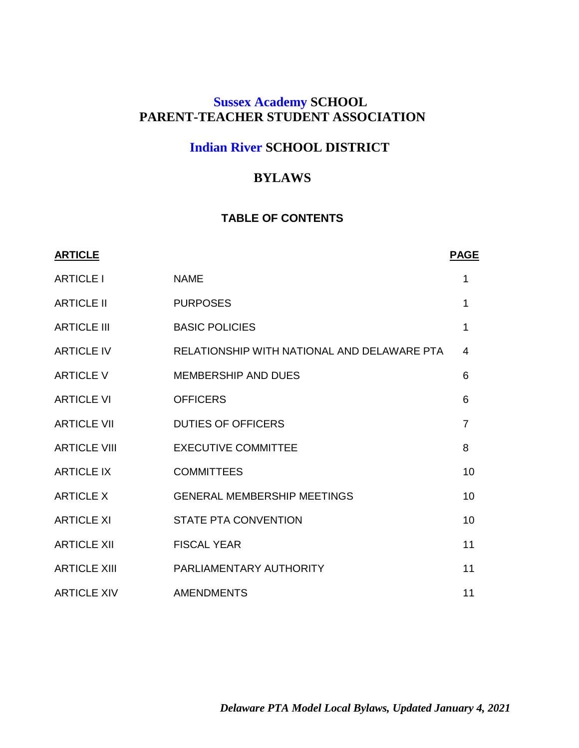# **Sussex Academy SCHOOL PARENT-TEACHER STUDENT ASSOCIATION**

# **Indian River SCHOOL DISTRICT**

# **BYLAWS**

# **TABLE OF CONTENTS**

| <b>ARTICLE</b>      |                                             | <b>PAGE</b>    |
|---------------------|---------------------------------------------|----------------|
| <b>ARTICLE I</b>    | <b>NAME</b>                                 | 1              |
| <b>ARTICLE II</b>   | <b>PURPOSES</b>                             | 1              |
| <b>ARTICLE III</b>  | <b>BASIC POLICIES</b>                       | 1              |
| <b>ARTICLE IV</b>   | RELATIONSHIP WITH NATIONAL AND DELAWARE PTA | 4              |
| <b>ARTICLE V</b>    | <b>MEMBERSHIP AND DUES</b>                  | 6              |
| <b>ARTICLE VI</b>   | <b>OFFICERS</b>                             | 6              |
| <b>ARTICLE VII</b>  | <b>DUTIES OF OFFICERS</b>                   | $\overline{7}$ |
| <b>ARTICLE VIII</b> | <b>EXECUTIVE COMMITTEE</b>                  | 8              |
| <b>ARTICLE IX</b>   | <b>COMMITTEES</b>                           | 10             |
| <b>ARTICLE X</b>    | <b>GENERAL MEMBERSHIP MEETINGS</b>          | 10             |
| <b>ARTICLE XI</b>   | <b>STATE PTA CONVENTION</b>                 | 10             |
| <b>ARTICLE XII</b>  | <b>FISCAL YEAR</b>                          | 11             |
| <b>ARTICLE XIII</b> | PARLIAMENTARY AUTHORITY                     | 11             |
| <b>ARTICLE XIV</b>  | <b>AMENDMENTS</b>                           | 11             |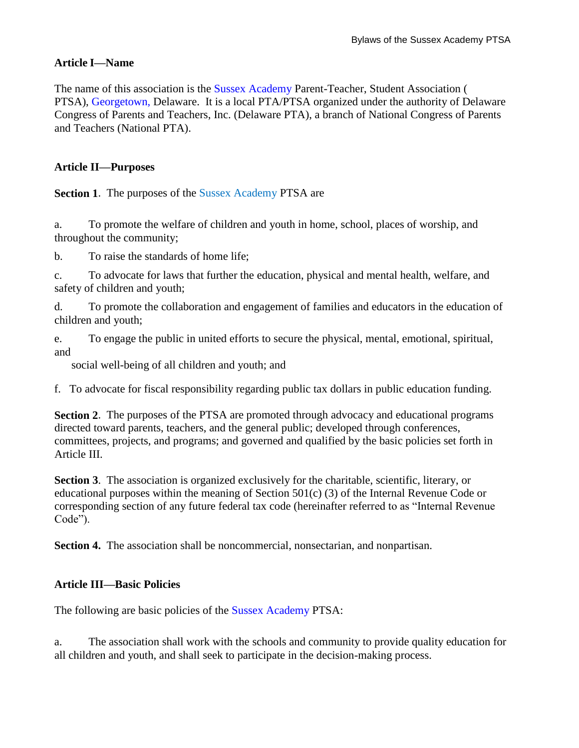### **Article I—Name**

The name of this association is the Sussex Academy Parent-Teacher, Student Association ( PTSA), Georgetown, Delaware. It is a local PTA/PTSA organized under the authority of Delaware Congress of Parents and Teachers, Inc. (Delaware PTA), a branch of National Congress of Parents and Teachers (National PTA).

#### **Article II—Purposes**

**Section 1.** The purposes of the Sussex Academy PTSA are

a. To promote the welfare of children and youth in home, school, places of worship, and throughout the community;

b. To raise the standards of home life;

c. To advocate for laws that further the education, physical and mental health, welfare, and safety of children and youth;

d. To promote the collaboration and engagement of families and educators in the education of children and youth;

e. To engage the public in united efforts to secure the physical, mental, emotional, spiritual, and

social well-being of all children and youth; and

f. To advocate for fiscal responsibility regarding public tax dollars in public education funding.

**Section 2**. The purposes of the PTSA are promoted through advocacy and educational programs directed toward parents, teachers, and the general public; developed through conferences, committees, projects, and programs; and governed and qualified by the basic policies set forth in Article III.

**Section 3**. The association is organized exclusively for the charitable, scientific, literary, or educational purposes within the meaning of Section 501(c) (3) of the Internal Revenue Code or corresponding section of any future federal tax code (hereinafter referred to as "Internal Revenue Code").

**Section 4.** The association shall be noncommercial, nonsectarian, and nonpartisan.

#### **Article III—Basic Policies**

The following are basic policies of the Sussex Academy PTSA:

a. The association shall work with the schools and community to provide quality education for all children and youth, and shall seek to participate in the decision-making process.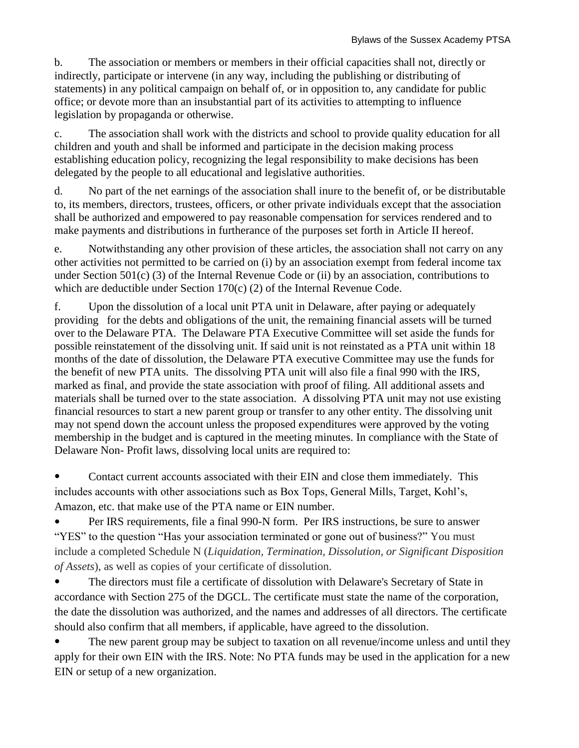b. The association or members or members in their official capacities shall not, directly or indirectly, participate or intervene (in any way, including the publishing or distributing of statements) in any political campaign on behalf of, or in opposition to, any candidate for public office; or devote more than an insubstantial part of its activities to attempting to influence legislation by propaganda or otherwise.

c. The association shall work with the districts and school to provide quality education for all children and youth and shall be informed and participate in the decision making process establishing education policy, recognizing the legal responsibility to make decisions has been delegated by the people to all educational and legislative authorities.

d. No part of the net earnings of the association shall inure to the benefit of, or be distributable to, its members, directors, trustees, officers, or other private individuals except that the association shall be authorized and empowered to pay reasonable compensation for services rendered and to make payments and distributions in furtherance of the purposes set forth in Article II hereof.

e. Notwithstanding any other provision of these articles, the association shall not carry on any other activities not permitted to be carried on (i) by an association exempt from federal income tax under Section 501(c) (3) of the Internal Revenue Code or (ii) by an association, contributions to which are deductible under Section 170(c) (2) of the Internal Revenue Code.

f. Upon the dissolution of a local unit PTA unit in Delaware, after paying or adequately providing for the debts and obligations of the unit, the remaining financial assets will be turned over to the Delaware PTA. The Delaware PTA Executive Committee will set aside the funds for possible reinstatement of the dissolving unit. If said unit is not reinstated as a PTA unit within 18 months of the date of dissolution, the Delaware PTA executive Committee may use the funds for the benefit of new PTA units. The dissolving PTA unit will also file a final 990 with the IRS, marked as final, and provide the state association with proof of filing. All additional assets and materials shall be turned over to the state association. A dissolving PTA unit may not use existing financial resources to start a new parent group or transfer to any other entity. The dissolving unit may not spend down the account unless the proposed expenditures were approved by the voting membership in the budget and is captured in the meeting minutes. In compliance with the State of Delaware Non- Profit laws, dissolving local units are required to:

• Contact current accounts associated with their EIN and close them immediately. This includes accounts with other associations such as Box Tops, General Mills, Target, Kohl's, Amazon, etc. that make use of the PTA name or EIN number.

Per IRS requirements, file a final 990-N form. Per IRS instructions, be sure to answer "YES" to the question "Has your association terminated or gone out of business?" You must include a completed Schedule N (*Liquidation, Termination, Dissolution, or Significant Disposition of Assets*), as well as copies of your certificate of dissolution.

• The directors must file a certificate of dissolution with Delaware's Secretary of State in accordance with Section 275 of the DGCL. The certificate must state the name of the corporation, the date the dissolution was authorized, and the names and addresses of all directors. The certificate should also confirm that all members, if applicable, have agreed to the dissolution.

The new parent group may be subject to taxation on all revenue/income unless and until they apply for their own EIN with the IRS. Note: No PTA funds may be used in the application for a new EIN or setup of a new organization.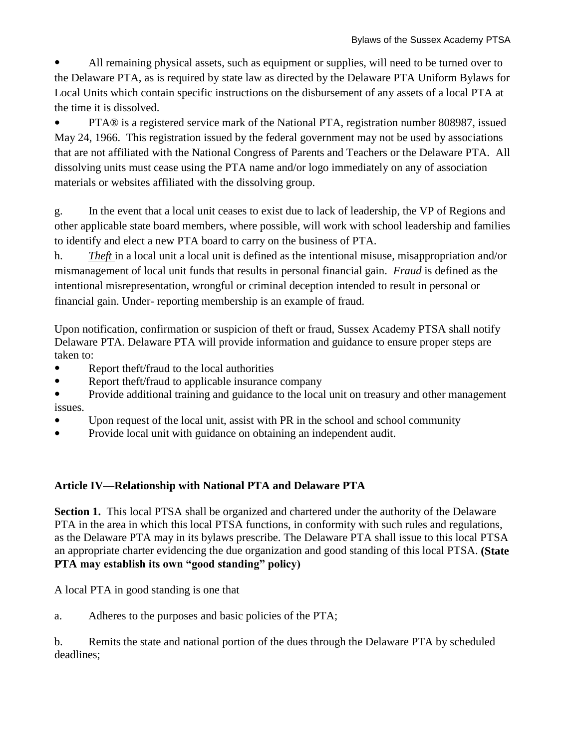All remaining physical assets, such as equipment or supplies, will need to be turned over to the Delaware PTA, as is required by state law as directed by the Delaware PTA Uniform Bylaws for Local Units which contain specific instructions on the disbursement of any assets of a local PTA at the time it is dissolved.

PTA® is a registered service mark of the National PTA, registration number 808987, issued May 24, 1966. This registration issued by the federal government may not be used by associations that are not affiliated with the National Congress of Parents and Teachers or the Delaware PTA. All dissolving units must cease using the PTA name and/or logo immediately on any of association materials or websites affiliated with the dissolving group.

g. In the event that a local unit ceases to exist due to lack of leadership, the VP of Regions and other applicable state board members, where possible, will work with school leadership and families to identify and elect a new PTA board to carry on the business of PTA.

h. *Theft* in a local unit a local unit is defined as the intentional misuse, misappropriation and/or mismanagement of local unit funds that results in personal financial gain. *Fraud* is defined as the intentional misrepresentation, wrongful or criminal deception intended to result in personal or financial gain. Under- reporting membership is an example of fraud.

Upon notification, confirmation or suspicion of theft or fraud, Sussex Academy PTSA shall notify Delaware PTA. Delaware PTA will provide information and guidance to ensure proper steps are taken to:

- Report theft/fraud to the local authorities
- Report theft/fraud to applicable insurance company
- Provide additional training and guidance to the local unit on treasury and other management issues.
- Upon request of the local unit, assist with PR in the school and school community
- Provide local unit with guidance on obtaining an independent audit.

# **Article IV—Relationship with National PTA and Delaware PTA**

**Section 1.** This local PTSA shall be organized and chartered under the authority of the Delaware PTA in the area in which this local PTSA functions, in conformity with such rules and regulations, as the Delaware PTA may in its bylaws prescribe. The Delaware PTA shall issue to this local PTSA an appropriate charter evidencing the due organization and good standing of this local PTSA. **(State PTA may establish its own "good standing" policy)**

A local PTA in good standing is one that

a. Adheres to the purposes and basic policies of the PTA;

b. Remits the state and national portion of the dues through the Delaware PTA by scheduled deadlines;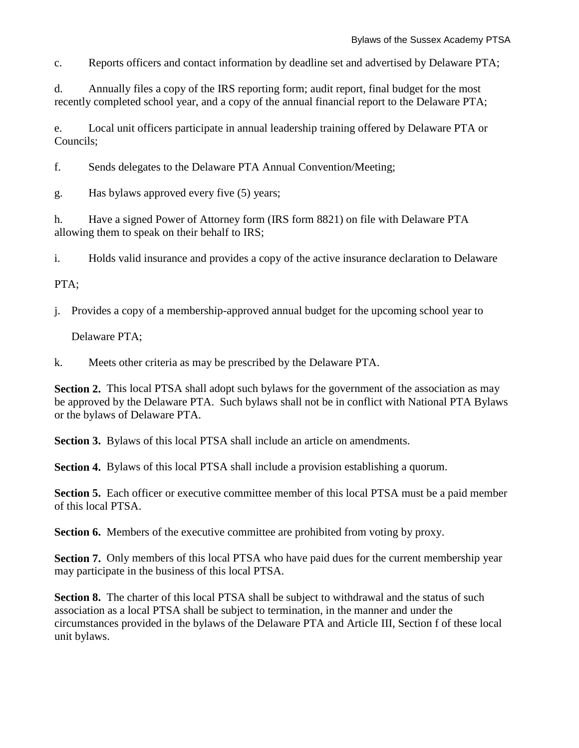c. Reports officers and contact information by deadline set and advertised by Delaware PTA;

d. Annually files a copy of the IRS reporting form; audit report, final budget for the most recently completed school year, and a copy of the annual financial report to the Delaware PTA;

e. Local unit officers participate in annual leadership training offered by Delaware PTA or Councils;

f. Sends delegates to the Delaware PTA Annual Convention/Meeting;

g. Has bylaws approved every five (5) years;

h. Have a signed Power of Attorney form (IRS form 8821) on file with Delaware PTA allowing them to speak on their behalf to IRS;

i. Holds valid insurance and provides a copy of the active insurance declaration to Delaware

#### PTA;

j. Provides a copy of a membership-approved annual budget for the upcoming school year to

Delaware PTA;

k. Meets other criteria as may be prescribed by the Delaware PTA.

**Section 2.** This local PTSA shall adopt such bylaws for the government of the association as may be approved by the Delaware PTA. Such bylaws shall not be in conflict with National PTA Bylaws or the bylaws of Delaware PTA.

**Section 3.** Bylaws of this local PTSA shall include an article on amendments.

**Section 4.** Bylaws of this local PTSA shall include a provision establishing a quorum.

**Section 5.** Each officer or executive committee member of this local PTSA must be a paid member of this local PTSA.

**Section 6.** Members of the executive committee are prohibited from voting by proxy.

**Section 7.** Only members of this local PTSA who have paid dues for the current membership year may participate in the business of this local PTSA.

**Section 8.** The charter of this local PTSA shall be subject to withdrawal and the status of such association as a local PTSA shall be subject to termination, in the manner and under the circumstances provided in the bylaws of the Delaware PTA and Article III, Section f of these local unit bylaws.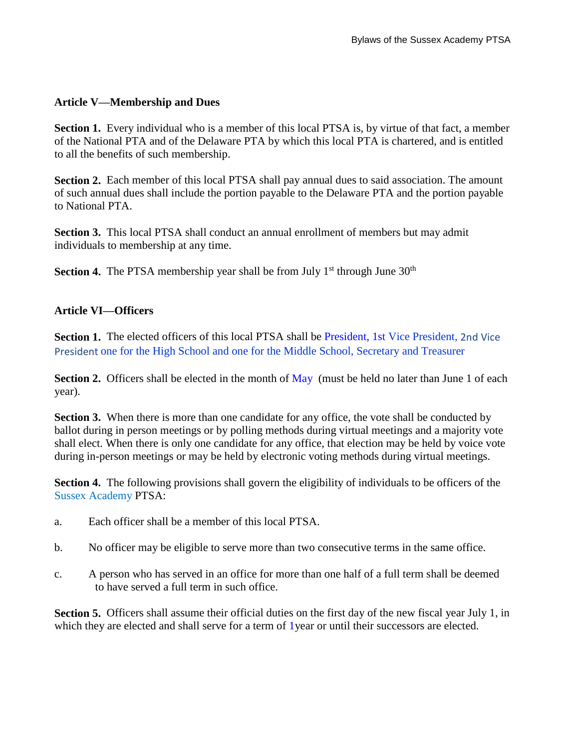### **Article V—Membership and Dues**

**Section 1.** Every individual who is a member of this local PTSA is, by virtue of that fact, a member of the National PTA and of the Delaware PTA by which this local PTA is chartered, and is entitled to all the benefits of such membership.

**Section 2.** Each member of this local PTSA shall pay annual dues to said association. The amount of such annual dues shall include the portion payable to the Delaware PTA and the portion payable to National PTA.

**Section 3.** This local PTSA shall conduct an annual enrollment of members but may admit individuals to membership at any time.

**Section 4.** The PTSA membership year shall be from July 1<sup>st</sup> through June 30<sup>th</sup>

#### **Article VI—Officers**

**Section 1.** The elected officers of this local PTSA shall be President, 1st Vice President, 2nd Vice President one for the High School and one for the Middle School, Secretary and Treasurer

**Section 2.** Officers shall be elected in the month of May (must be held no later than June 1 of each year).

**Section 3.** When there is more than one candidate for any office, the vote shall be conducted by ballot during in person meetings or by polling methods during virtual meetings and a majority vote shall elect. When there is only one candidate for any office, that election may be held by voice vote during in-person meetings or may be held by electronic voting methods during virtual meetings.

**Section 4.** The following provisions shall govern the eligibility of individuals to be officers of the Sussex Academy PTSA:

- a. Each officer shall be a member of this local PTSA.
- b. No officer may be eligible to serve more than two consecutive terms in the same office.
- c. A person who has served in an office for more than one half of a full term shall be deemed to have served a full term in such office.

Section 5. Officers shall assume their official duties on the first day of the new fiscal year July 1, in which they are elected and shall serve for a term of 1year or until their successors are elected.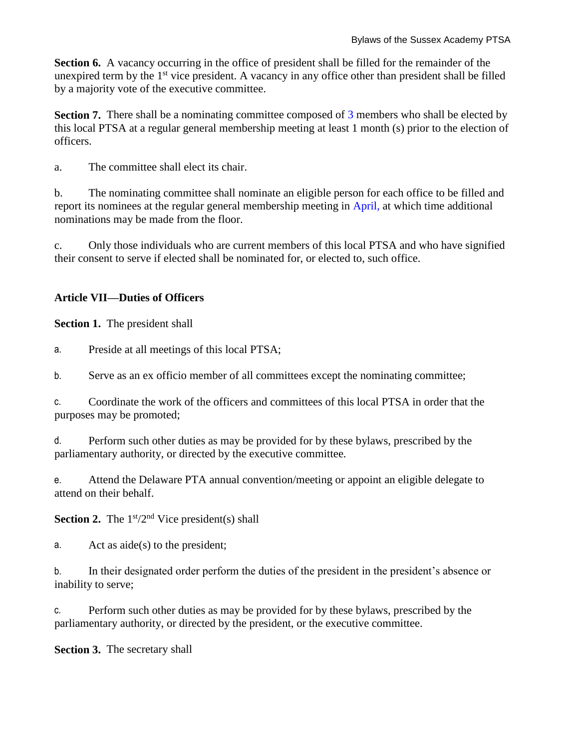**Section 6.** A vacancy occurring in the office of president shall be filled for the remainder of the unexpired term by the 1<sup>st</sup> vice president. A vacancy in any office other than president shall be filled by a majority vote of the executive committee.

**Section 7.** There shall be a nominating committee composed of 3 members who shall be elected by this local PTSA at a regular general membership meeting at least 1 month (s) prior to the election of officers.

a. The committee shall elect its chair.

b. The nominating committee shall nominate an eligible person for each office to be filled and report its nominees at the regular general membership meeting in April, at which time additional nominations may be made from the floor.

c. Only those individuals who are current members of this local PTSA and who have signified their consent to serve if elected shall be nominated for, or elected to, such office.

# **Article VII—Duties of Officers**

**Section 1.** The president shall

a. Preside at all meetings of this local PTSA;

b. Serve as an ex officio member of all committees except the nominating committee;

c. Coordinate the work of the officers and committees of this local PTSA in order that the purposes may be promoted;

d. Perform such other duties as may be provided for by these bylaws, prescribed by the parliamentary authority, or directed by the executive committee.

e. Attend the Delaware PTA annual convention/meeting or appoint an eligible delegate to attend on their behalf.

**Section 2.** The  $1<sup>st</sup>/2<sup>nd</sup>$  Vice president(s) shall

a. Act as aide(s) to the president;

b. In their designated order perform the duties of the president in the president's absence or inability to serve;

c. Perform such other duties as may be provided for by these bylaws, prescribed by the parliamentary authority, or directed by the president, or the executive committee.

**Section 3.** The secretary shall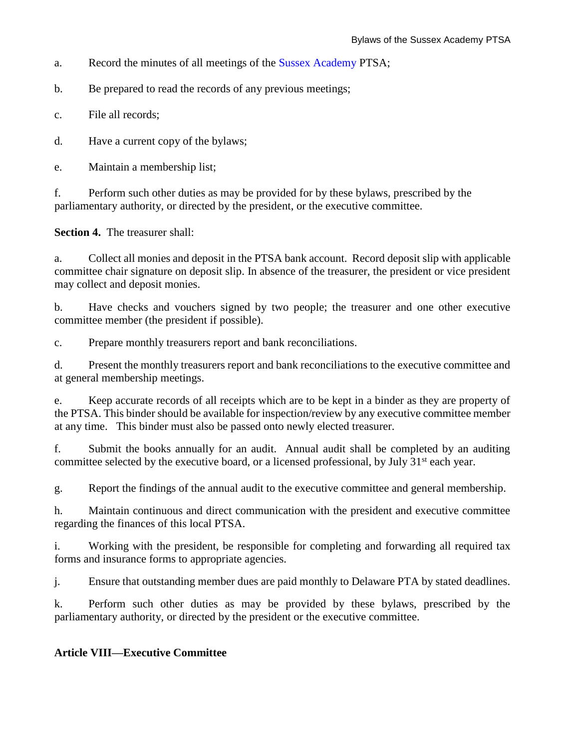a. Record the minutes of all meetings of the Sussex Academy PTSA;

b. Be prepared to read the records of any previous meetings;

c. File all records;

d. Have a current copy of the bylaws;

e. Maintain a membership list;

f. Perform such other duties as may be provided for by these bylaws, prescribed by the parliamentary authority, or directed by the president, or the executive committee.

**Section 4.** The treasurer shall:

a. Collect all monies and deposit in the PTSA bank account. Record deposit slip with applicable committee chair signature on deposit slip. In absence of the treasurer, the president or vice president may collect and deposit monies.

b. Have checks and vouchers signed by two people; the treasurer and one other executive committee member (the president if possible).

c. Prepare monthly treasurers report and bank reconciliations.

d. Present the monthly treasurers report and bank reconciliations to the executive committee and at general membership meetings.

e. Keep accurate records of all receipts which are to be kept in a binder as they are property of the PTSA. This binder should be available for inspection/review by any executive committee member at any time. This binder must also be passed onto newly elected treasurer.

f. Submit the books annually for an audit. Annual audit shall be completed by an auditing committee selected by the executive board, or a licensed professional, by July 31<sup>st</sup> each year.

g. Report the findings of the annual audit to the executive committee and general membership.

h. Maintain continuous and direct communication with the president and executive committee regarding the finances of this local PTSA.

i. Working with the president, be responsible for completing and forwarding all required tax forms and insurance forms to appropriate agencies.

j. Ensure that outstanding member dues are paid monthly to Delaware PTA by stated deadlines.

k. Perform such other duties as may be provided by these bylaws, prescribed by the parliamentary authority, or directed by the president or the executive committee.

# **Article VIII—Executive Committee**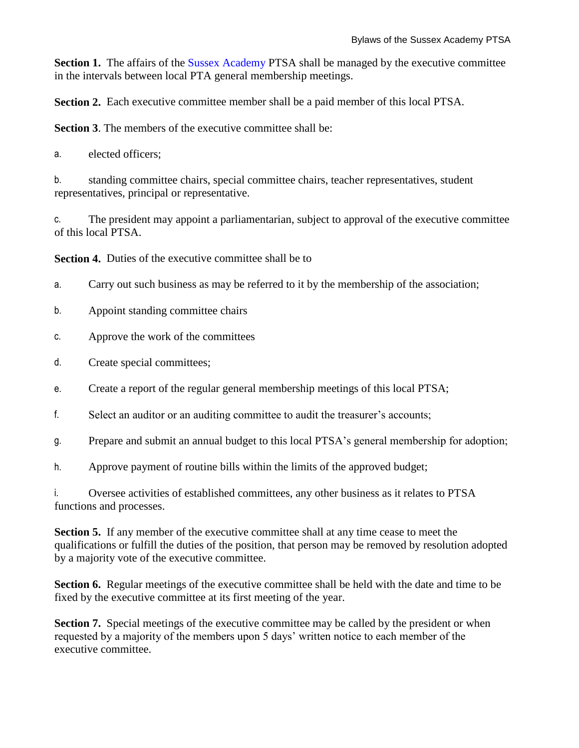**Section 1.** The affairs of the **Sussex Academy PTSA** shall be managed by the executive committee in the intervals between local PTA general membership meetings.

**Section 2.** Each executive committee member shall be a paid member of this local PTSA.

**Section 3.** The members of the executive committee shall be:

a. elected officers;

b. standing committee chairs, special committee chairs, teacher representatives, student representatives, principal or representative.

c. The president may appoint a parliamentarian, subject to approval of the executive committee of this local PTSA.

**Section 4.** Duties of the executive committee shall be to

- a. Carry out such business as may be referred to it by the membership of the association;
- b. Appoint standing committee chairs
- c. Approve the work of the committees
- d. Create special committees;
- e. Create a report of the regular general membership meetings of this local PTSA;
- f. Select an auditor or an auditing committee to audit the treasurer's accounts;
- g. Prepare and submit an annual budget to this local PTSA's general membership for adoption;
- h. Approve payment of routine bills within the limits of the approved budget;

i. Oversee activities of established committees, any other business as it relates to PTSA functions and processes.

**Section 5.** If any member of the executive committee shall at any time cease to meet the qualifications or fulfill the duties of the position, that person may be removed by resolution adopted by a majority vote of the executive committee.

**Section 6.** Regular meetings of the executive committee shall be held with the date and time to be fixed by the executive committee at its first meeting of the year.

**Section 7.** Special meetings of the executive committee may be called by the president or when requested by a majority of the members upon 5 days' written notice to each member of the executive committee.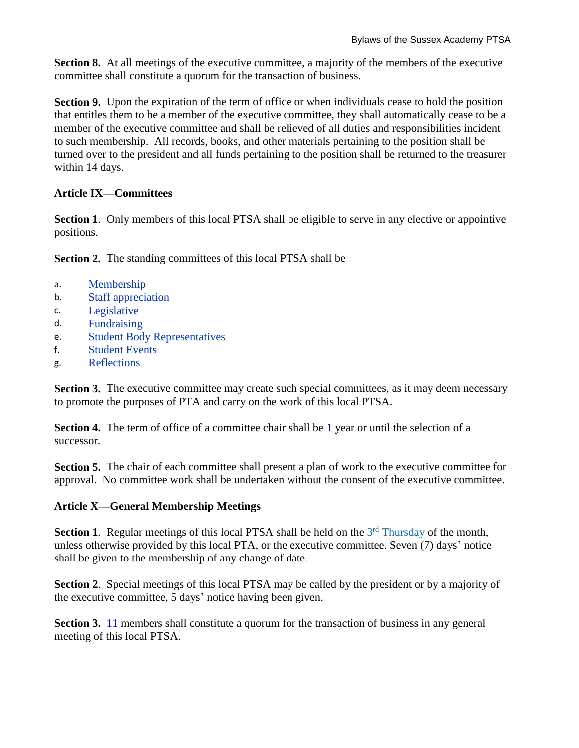**Section 8.** At all meetings of the executive committee, a majority of the members of the executive committee shall constitute a quorum for the transaction of business.

**Section 9.** Upon the expiration of the term of office or when individuals cease to hold the position that entitles them to be a member of the executive committee, they shall automatically cease to be a member of the executive committee and shall be relieved of all duties and responsibilities incident to such membership. All records, books, and other materials pertaining to the position shall be turned over to the president and all funds pertaining to the position shall be returned to the treasurer within 14 days.

### **Article IX—Committees**

**Section 1.** Only members of this local PTSA shall be eligible to serve in any elective or appointive positions.

**Section 2.** The standing committees of this local PTSA shall be

- a. Membership
- b. Staff appreciation
- c. Legislative
- d. Fundraising
- e. Student Body Representatives
- f. Student Events
- g. Reflections

**Section 3.** The executive committee may create such special committees, as it may deem necessary to promote the purposes of PTA and carry on the work of this local PTSA.

**Section 4.** The term of office of a committee chair shall be 1 year or until the selection of a successor.

**Section 5.** The chair of each committee shall present a plan of work to the executive committee for approval. No committee work shall be undertaken without the consent of the executive committee.

# **Article X—General Membership Meetings**

Section 1. Regular meetings of this local PTSA shall be held on the 3<sup>rd</sup> Thursday of the month, unless otherwise provided by this local PTA, or the executive committee. Seven (7) days' notice shall be given to the membership of any change of date.

**Section 2**. Special meetings of this local PTSA may be called by the president or by a majority of the executive committee, 5 days' notice having been given.

**Section 3.** 11 members shall constitute a quorum for the transaction of business in any general meeting of this local PTSA.